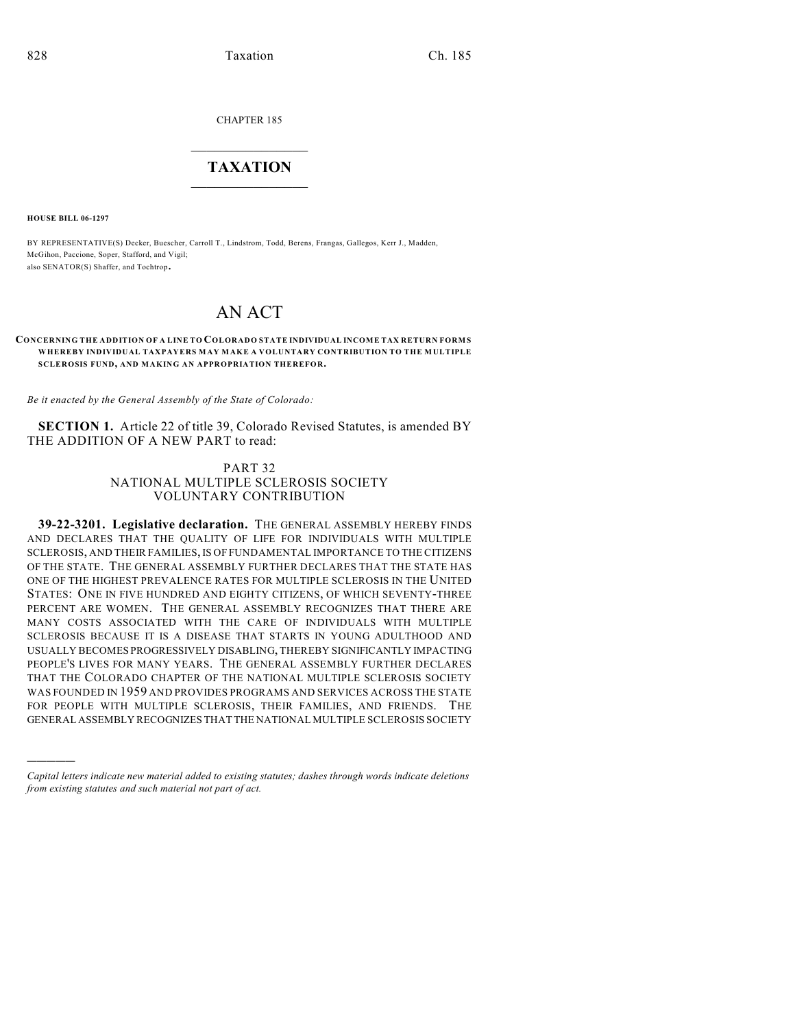CHAPTER 185

## $\overline{\phantom{a}}$  . The set of the set of the set of the set of the set of the set of the set of the set of the set of the set of the set of the set of the set of the set of the set of the set of the set of the set of the set o **TAXATION**  $\_$

**HOUSE BILL 06-1297**

)))))

BY REPRESENTATIVE(S) Decker, Buescher, Carroll T., Lindstrom, Todd, Berens, Frangas, Gallegos, Kerr J., Madden, McGihon, Paccione, Soper, Stafford, and Vigil; also SENATOR(S) Shaffer, and Tochtrop.

# AN ACT

#### **CONCERNING THE ADDITION OF A LINE TO COLORADO STATE INDIVIDUAL INCOME TAX RETURN FORMS WHEREBY INDIVIDUAL TAXPAYERS MAY MAKE A VOLUNTARY CONTRIBUTION TO THE MULTIPLE SCLEROSIS FUND, AND MAKING AN APPROPRIATION THEREFOR.**

*Be it enacted by the General Assembly of the State of Colorado:*

**SECTION 1.** Article 22 of title 39, Colorado Revised Statutes, is amended BY THE ADDITION OF A NEW PART to read:

#### PART 32 NATIONAL MULTIPLE SCLEROSIS SOCIETY VOLUNTARY CONTRIBUTION

**39-22-3201. Legislative declaration.** THE GENERAL ASSEMBLY HEREBY FINDS AND DECLARES THAT THE QUALITY OF LIFE FOR INDIVIDUALS WITH MULTIPLE SCLEROSIS, AND THEIR FAMILIES, IS OF FUNDAMENTAL IMPORTANCE TO THE CITIZENS OF THE STATE. THE GENERAL ASSEMBLY FURTHER DECLARES THAT THE STATE HAS ONE OF THE HIGHEST PREVALENCE RATES FOR MULTIPLE SCLEROSIS IN THE UNITED STATES: ONE IN FIVE HUNDRED AND EIGHTY CITIZENS, OF WHICH SEVENTY-THREE PERCENT ARE WOMEN. THE GENERAL ASSEMBLY RECOGNIZES THAT THERE ARE MANY COSTS ASSOCIATED WITH THE CARE OF INDIVIDUALS WITH MULTIPLE SCLEROSIS BECAUSE IT IS A DISEASE THAT STARTS IN YOUNG ADULTHOOD AND USUALLY BECOMES PROGRESSIVELY DISABLING, THEREBY SIGNIFICANTLY IMPACTING PEOPLE'S LIVES FOR MANY YEARS. THE GENERAL ASSEMBLY FURTHER DECLARES THAT THE COLORADO CHAPTER OF THE NATIONAL MULTIPLE SCLEROSIS SOCIETY WAS FOUNDED IN 1959 AND PROVIDES PROGRAMS AND SERVICES ACROSS THE STATE FOR PEOPLE WITH MULTIPLE SCLEROSIS, THEIR FAMILIES, AND FRIENDS. THE GENERAL ASSEMBLY RECOGNIZES THAT THE NATIONAL MULTIPLE SCLEROSIS SOCIETY

*Capital letters indicate new material added to existing statutes; dashes through words indicate deletions from existing statutes and such material not part of act.*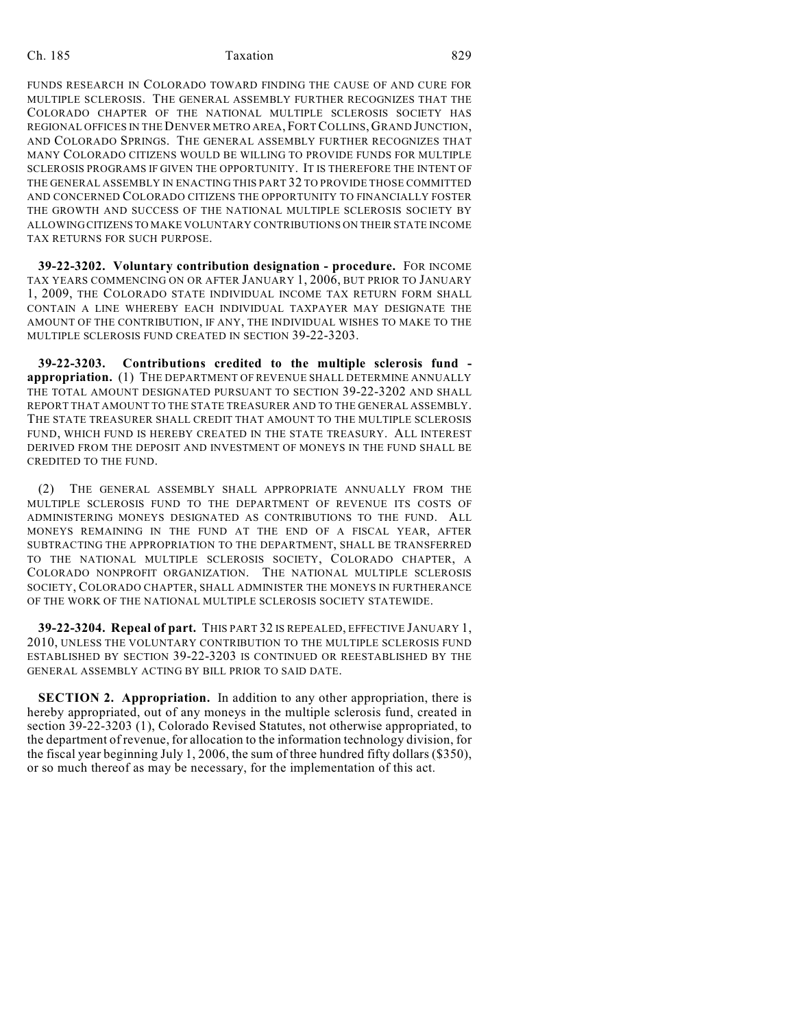#### Ch. 185 Taxation **Taxation** 829

FUNDS RESEARCH IN COLORADO TOWARD FINDING THE CAUSE OF AND CURE FOR MULTIPLE SCLEROSIS. THE GENERAL ASSEMBLY FURTHER RECOGNIZES THAT THE COLORADO CHAPTER OF THE NATIONAL MULTIPLE SCLEROSIS SOCIETY HAS REGIONAL OFFICES IN THE DENVER METRO AREA, FORT COLLINS, GRAND JUNCTION, AND COLORADO SPRINGS. THE GENERAL ASSEMBLY FURTHER RECOGNIZES THAT MANY COLORADO CITIZENS WOULD BE WILLING TO PROVIDE FUNDS FOR MULTIPLE SCLEROSIS PROGRAMS IF GIVEN THE OPPORTUNITY. IT IS THEREFORE THE INTENT OF THE GENERAL ASSEMBLY IN ENACTING THIS PART 32 TO PROVIDE THOSE COMMITTED AND CONCERNED COLORADO CITIZENS THE OPPORTUNITY TO FINANCIALLY FOSTER THE GROWTH AND SUCCESS OF THE NATIONAL MULTIPLE SCLEROSIS SOCIETY BY ALLOWING CITIZENS TO MAKE VOLUNTARY CONTRIBUTIONS ON THEIR STATE INCOME TAX RETURNS FOR SUCH PURPOSE.

**39-22-3202. Voluntary contribution designation - procedure.** FOR INCOME TAX YEARS COMMENCING ON OR AFTER JANUARY 1, 2006, BUT PRIOR TO JANUARY 1, 2009, THE COLORADO STATE INDIVIDUAL INCOME TAX RETURN FORM SHALL CONTAIN A LINE WHEREBY EACH INDIVIDUAL TAXPAYER MAY DESIGNATE THE AMOUNT OF THE CONTRIBUTION, IF ANY, THE INDIVIDUAL WISHES TO MAKE TO THE MULTIPLE SCLEROSIS FUND CREATED IN SECTION 39-22-3203.

**39-22-3203. Contributions credited to the multiple sclerosis fund appropriation.** (1) THE DEPARTMENT OF REVENUE SHALL DETERMINE ANNUALLY THE TOTAL AMOUNT DESIGNATED PURSUANT TO SECTION 39-22-3202 AND SHALL REPORT THAT AMOUNT TO THE STATE TREASURER AND TO THE GENERAL ASSEMBLY. THE STATE TREASURER SHALL CREDIT THAT AMOUNT TO THE MULTIPLE SCLEROSIS FUND, WHICH FUND IS HEREBY CREATED IN THE STATE TREASURY. ALL INTEREST DERIVED FROM THE DEPOSIT AND INVESTMENT OF MONEYS IN THE FUND SHALL BE CREDITED TO THE FUND.

(2) THE GENERAL ASSEMBLY SHALL APPROPRIATE ANNUALLY FROM THE MULTIPLE SCLEROSIS FUND TO THE DEPARTMENT OF REVENUE ITS COSTS OF ADMINISTERING MONEYS DESIGNATED AS CONTRIBUTIONS TO THE FUND. ALL MONEYS REMAINING IN THE FUND AT THE END OF A FISCAL YEAR, AFTER SUBTRACTING THE APPROPRIATION TO THE DEPARTMENT, SHALL BE TRANSFERRED TO THE NATIONAL MULTIPLE SCLEROSIS SOCIETY, COLORADO CHAPTER, A COLORADO NONPROFIT ORGANIZATION. THE NATIONAL MULTIPLE SCLEROSIS SOCIETY, COLORADO CHAPTER, SHALL ADMINISTER THE MONEYS IN FURTHERANCE OF THE WORK OF THE NATIONAL MULTIPLE SCLEROSIS SOCIETY STATEWIDE.

**39-22-3204. Repeal of part.** THIS PART 32 IS REPEALED, EFFECTIVE JANUARY 1, 2010, UNLESS THE VOLUNTARY CONTRIBUTION TO THE MULTIPLE SCLEROSIS FUND ESTABLISHED BY SECTION 39-22-3203 IS CONTINUED OR REESTABLISHED BY THE GENERAL ASSEMBLY ACTING BY BILL PRIOR TO SAID DATE.

**SECTION 2. Appropriation.** In addition to any other appropriation, there is hereby appropriated, out of any moneys in the multiple sclerosis fund, created in section 39-22-3203 (1), Colorado Revised Statutes, not otherwise appropriated, to the department of revenue, for allocation to the information technology division, for the fiscal year beginning July 1, 2006, the sum of three hundred fifty dollars (\$350), or so much thereof as may be necessary, for the implementation of this act.